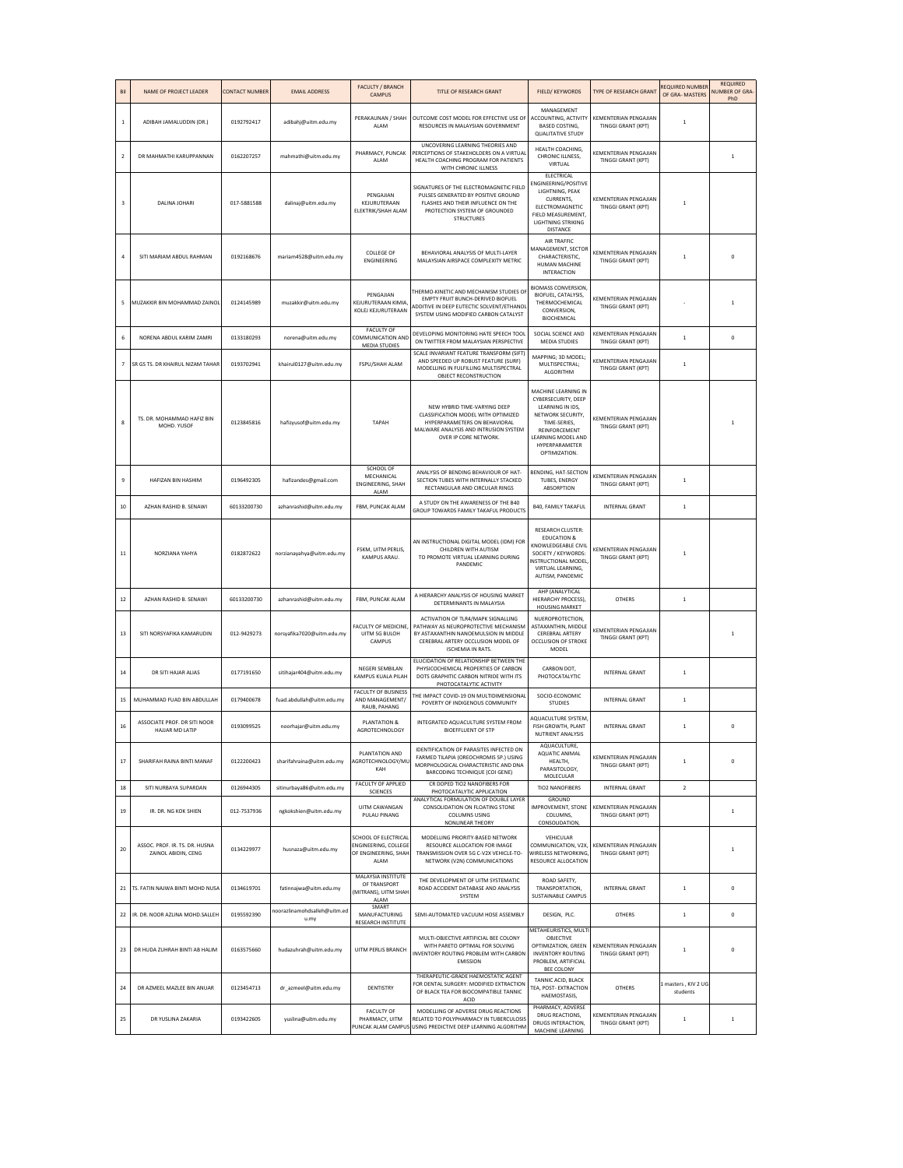| Bi             | NAME OF PROJECT LEADER                                | <b>CONTACT NUMBER</b> | <b>EMAIL ADDRESS</b>                 | <b>FACULTY / BRANCH</b><br>CAMPUS                                            | TITLE OF RESEARCH GRANT                                                                                                                                                              | FIELD/ KEYWORDS                                                                                                                                                                      | TYPE OF RESEARCH GRANT                             | REQUIRED NUMBER<br>OF GRA- MASTERS | <b>REQUIRED</b><br><b>NUMBER OF GRA-</b><br>PhD |
|----------------|-------------------------------------------------------|-----------------------|--------------------------------------|------------------------------------------------------------------------------|--------------------------------------------------------------------------------------------------------------------------------------------------------------------------------------|--------------------------------------------------------------------------------------------------------------------------------------------------------------------------------------|----------------------------------------------------|------------------------------------|-------------------------------------------------|
| $\,$ 1 $\,$    | ADIBAH JAMALUDDIN (DR.)                               | 0192792417            | adibahj@uitm.edu.my                  | PERAKAUNAN / SHAH<br>ALAM                                                    | OUTCOME COST MODEL FOR EFFECTIVE USE OF<br>RESOURCES IN MALAYSIAN GOVERNMENT                                                                                                         | MANAGEMENT<br>ACCOUNTING, ACTIVITY<br><b>BASED COSTING,</b><br><b>QUALITATIVE STUDY</b>                                                                                              | KEMENTERIAN PENGAJIAN<br>TINGGI GRANT (KPT)        | $\,$ 1                             |                                                 |
| $\overline{2}$ | DR MAHMATHI KARUPPANNAN                               | 0162207257            | mahmathi@uitm.edu.my                 | PHARMACY, PUNCAK<br>ALAM                                                     | UNCOVERING LEARNING THEORIES AND<br>PERCEPTIONS OF STAKEHOLDERS ON A VIRTUAL<br>HEALTH COACHING PROGRAM FOR PATIENTS<br>WITH CHRONIC ILLNESS                                         | HEALTH COACHING,<br>CHRONIC ILLNESS,<br>VIRTUAL                                                                                                                                      | KEMENTERIAN PENGAJIAN<br><b>TINGGI GRANT (KPT)</b> |                                    | $\mathbf{1}$                                    |
| 3              | <b>DALINA JOHARI</b>                                  | 017-5881588           | dalinaj@uitm.edu.my                  | PENGAJIAN<br>KEJURUTERAAN<br>ELEKTRIK/SHAH ALAM                              | SIGNATURES OF THE ELECTROMAGNETIC FIELD<br>PULSES GENERATED BY POSITIVE GROUND<br>FLASHES AND THEIR INFLUENCE ON THE<br>PROTECTION SYSTEM OF GROUNDED<br><b>STRUCTURES</b>           | ELECTRICAL<br>ENGINEERING/POSITIVE<br>LIGHTNING, PEAK<br>CURRENTS,<br>ELECTROMAGNETIC<br>FIELD MEASUREMENT,<br><b>LIGHTNING STRIKING</b><br><b>DISTANCE</b>                          | KEMENTERIAN PENGAJIAN<br><b>TINGGI GRANT (KPT)</b> | $\mathbf{1}$                       |                                                 |
|                | SITI MARIAM ABDUL RAHMAN                              | 0192168676            | mariam4528@uitm.edu.my               | <b>COLLEGE OF</b><br><b>ENGINEERING</b>                                      | BEHAVIORAL ANALYSIS OF MULTI-LAYER<br>MALAYSIAN AIRSPACE COMPLEXITY METRIC                                                                                                           | AIR TRAFFIC<br>MANAGEMENT, SECTOR<br>CHARACTERISTIC,<br><b>HUMAN MACHINE</b><br><b>INTERACTION</b>                                                                                   | KEMENTERIAN PENGAJIAN<br><b>TINGGI GRANT (KPT)</b> | $\mathbf{1}$                       | $\Omega$                                        |
|                | MUZAKKIR BIN MOHAMMAD ZAINOL                          | 0124145989            | muzakkir@uitm.edu.my                 | PENGAJIAN<br>KEJURUTERAAN KIMIA,<br>KOLEJ KEJURUTERAAN                       | THERMO-KINETIC AND MECHANISM STUDIES OF<br>EMPTY FRUIT BUNCH-DERIVED BIOFUEL<br>ADDITIVE IN DEEP EUTECTIC SOLVENT/ETHANOL<br>SYSTEM USING MODIFIED CARBON CATALYST                   | <b>BIOMASS CONVERSION,</b><br>BIOFUEL, CATALYSIS.<br>THERMOCHEMICAL<br>CONVERSION.<br>BIOCHEMICAL                                                                                    | KEMENTERIAN PENGAJIAN<br><b>TINGGI GRANT (KPT)</b> |                                    | $\mathbf{1}$                                    |
| 6              | NORENA ABDUL KARIM ZAMRI                              | 0133180293            | norena@uitm.edu.my                   | FACULTY OF<br>COMMUNICATION AND<br>MEDIA STUDIES                             | DEVELOPING MONITORING HATE SPEECH TOOL<br>ON TWITTER FROM MALAYSIAN PERSPECTIVE                                                                                                      | SOCIAL SCIENCE AND<br>MEDIA STUDIES                                                                                                                                                  | <b>KEMENTERIAN PENGAJIAN</b><br>TINGGI GRANT (KPT) | $\overline{1}$                     | $\mathbf 0$                                     |
| $\overline{7}$ | SR GS TS, DR KHAIRUL NIZAM TAHAR                      | 0193702941            | khairul0127@uitm.edu.my              | FSPU/SHAH ALAM                                                               | SCALE INVARIANT FEATURE TRANSFORM (SIFT)<br>AND SPEEDED UP ROBUST FEATURE (SURF)<br>MODELLING IN FULFILLING MULTISPECTRAL<br>OBJECT RECONSTRUCTION                                   | MAPPING; 3D MODEL;<br>MULTISPECTRAL;<br>ALGORITHM                                                                                                                                    | KEMENTERIAN PENGAJIAN<br><b>TINGGI GRANT (KPT)</b> | $\,$ 1                             |                                                 |
| 8              | TS. DR. MOHAMMAD HAFIZ BIN<br>MOHD, YUSOF             | 0123845816            | hafizyusof@uitm.edu.my               | TAPAH                                                                        | NEW HYBRID TIME-VARYING DEEP<br>CLASSIFICATION MODEL WITH OPTIMIZED<br>HYPERPARAMETERS ON BEHAVIORAL<br>MALWARE ANALYSIS AND INTRUSION SYSTEM<br>OVER IP CORE NETWORK.               | MACHINE LEARNING IN<br>CYBERSECURITY, DEEP<br>LEARNING IN IDS,<br>NETWORK SECURITY,<br>TIME-SERIES,<br>REINFORCEMENT<br><b>LEARNING MODEL AND</b><br>HYPERPARAMETER<br>OPTIMIZATION. | <b>KEMENTERIAN PENGAJIAN</b><br>TINGGI GRANT (KPT) |                                    |                                                 |
| 9              | HAFIZAN BIN HASHIM                                    | 0196492305            | hafizandes@gmail.com                 | SCHOOL OF<br>MECHANICAL<br><b>ENGINEERING, SHAH</b><br>ALAM                  | ANALYSIS OF BENDING BEHAVIOUR OF HAT-<br>SECTION TUBES WITH INTERNALLY STACKED<br>RECTANGULAR AND CIRCULAR RINGS                                                                     | BENDING, HAT-SECTION<br><b>TUBES, ENERGY</b><br><b>ABSORPTION</b>                                                                                                                    | KEMENTERIAN PENGAJIAN<br>TINGGI GRANT (KPT)        | $\,$ 1                             |                                                 |
| 10             | AZHAN RASHID B. SENAWI                                | 60133200730           | azhanrashid@uitm.edu.my              | FBM, PUNCAK ALAM                                                             | A STUDY ON THE AWARENESS OF THE B40<br>GROUP TOWARDS FAMILY TAKAFUL PRODUCTS                                                                                                         | <b>B40, FAMILY TAKAFUL</b>                                                                                                                                                           | <b>INTERNAL GRANT</b>                              | $\,$ 1                             |                                                 |
| 11             | NORZIANA YAHYA                                        | 0182872622            | norzianayahya@uitm.edu.my            | FSKM, UITM PERLIS,<br>KAMPUS ARAU.                                           | AN INSTRUCTIONAL DIGITAL MODEL (IDM) FOR<br>CHILDREN WITH AUTISM<br>TO PROMOTE VIRTUAL LEARNING DURING<br>PANDEMIC                                                                   | <b>RESEARCH CLUSTER:</b><br><b>EDUCATION &amp;</b><br>KNOWLEDGEABLE CIVIL<br>SOCIETY / KEYWORDS:<br>NSTRUCTIONAL MODEL<br>VIRTUAL LEARNING,<br>AUTISM, PANDEMIC                      | KEMENTERIAN PENGAJIAN<br><b>TINGGI GRANT (KPT)</b> | $\mathbf{1}$                       |                                                 |
| 12             | AZHAN RASHID B. SENAWI                                | 60133200730           | azhanrashid@uitm.edu.my              | FBM, PUNCAK ALAM                                                             | A HIERARCHY ANALYSIS OF HOUSING MARKET<br>DETERMINANTS IN MALAYSIA                                                                                                                   | AHP (ANALYTICAL<br>HIERARCHY PROCESS),<br><b>HOUSING MARKET</b>                                                                                                                      | <b>OTHERS</b>                                      | $\,$ 1                             |                                                 |
| 13             | SITI NORSYAFIKA KAMARUDIN                             | 012-9429273           | norsyafika7020@uitm.edu.my           | ACULTY OF MEDICINE,<br>UITM SG BULOH<br>CAMPUS                               | ACTIVATION OF TLR4/MAPK SIGNALLING<br>PATHWAY AS NEUROPROTECTIVE MECHANISM<br>BY ASTAXANTHIN NANOEMULSION IN MIDDLE<br>CEREBRAL ARTERY OCCLUSION MODEL OF<br><b>ISCHEMIA IN RATS</b> | NUEROPROTECTION.<br>ASTAXANTHIN, MIDDLE<br>CEREBRAL ARTERY<br><b>OCCLUSION OF STROKE</b><br>MODEL                                                                                    | <b>KEMENTERIAN PENGAJIAN</b><br>TINGGI GRANT (KPT) |                                    | $\mathbf{1}$                                    |
| 14             | DR SITI HAJAR ALIAS                                   | 0177191650            | sitihajar404@uitm.edu.my             | NEGERI SEMBILAN<br>KAMPUS KUALA PILAH                                        | ELUCIDATION OF RELATIONSHIP BETWEEN THE<br>PHYSICOCHEMICAL PROPERTIES OF CARBON<br>DOTS GRAPHITIC CARBON NITRIDE WITH ITS<br>PHOTOCATALYTIC ACTIVITY                                 | CARBON DOT,<br>PHOTOCATALYTIC                                                                                                                                                        | <b>INTERNAL GRANT</b>                              | $\,$ 1                             |                                                 |
| 15             | MUHAMMAD FUAD BIN ABDULLAH                            | 0179400678            | fuad.abdullah@uitm.edu.my            | <b>FACULTY OF BUSINESS</b><br>AND MANAGEMENT/<br>RAUB, PAHANG                | THE IMPACT COVID-19 ON MULTIDIMENSIONAL<br>POVERTY OF INDIGENOUS COMMUNITY                                                                                                           | SOCIO-ECONOMIC<br><b>STUDIES</b>                                                                                                                                                     | <b>INTERNAL GRANT</b>                              | $\overline{1}$                     |                                                 |
| $16\,$         | ASSOCIATE PROF. DR SITI NOOR<br>HAJJAR MD LATIP       | 0193099525            | noorhajar@uitm.edu.my                | PLANTATION &<br>AGROTECHNOLOGY                                               | INTEGRATED AOUACULTURE SYSTEM FROM<br><b>BIOEFFLUENT OF STP</b>                                                                                                                      | AOUACULTURE SYSTEM<br>FISH GROWTH, PLANT<br>NUTRIENT ANALYSIS                                                                                                                        | <b>INTERNAL GRANT</b>                              | $\mathbf{1}$                       | $\mathbf 0$                                     |
| 17             | SHARIFAH RAINA BINTI MANAF                            | 0122200423            | sharifahraina@uitm.edu.my            | PLANTATION AND<br><b>AGROTECHNOLOGY/ML</b><br>KAH                            | IDENTIFICATION OF PARASITES INFECTED ON<br>FARMED TILAPIA (OREOCHROMIS SP.) USING<br>MORPHOLOGICAL CHARACTERISTIC AND DNA<br>BARCODING TECHNIQUE (COI GENE)                          | AQUACULTURE,<br><b>AQUATIC ANIMAL</b><br>HEALTH,<br>PARASITOLOGY.<br>MOLECULAR                                                                                                       | KEMENTERIAN PENGAJIAN<br><b>TINGGI GRANT (KPT)</b> | $\mathbf{1}$                       | $\mathbf 0$                                     |
| 18             | SITI NURBAYA SUPARDAN                                 | 0126944305            | sitinurbaya86@uitm.edu.my            | <b>FACULTY OF APPLIED</b><br>SCIENCES                                        | CR DOPED TIO2 NANOFIBERS FOR<br>PHOTOCATALYTIC APPLICATION<br>ANALYTICAL FORMULATION OF DOUBLE LAYER                                                                                 | TIO2 NANOFIBERS<br>GROUND                                                                                                                                                            | <b>INTERNAL GRANT</b>                              | $\overline{2}$                     |                                                 |
| 19             | IR. DR. NG KOK SHIEN                                  | 012-7537936           | ngkokshien@uitm.edu.mv               | UITM CAWANGAN<br>PULAU PINANG                                                | CONSOLIDATION ON FLOATING STONE<br><b>COLUMNS USING</b><br>NONLINEAR THEORY                                                                                                          | IMPROVEMENT, STONE<br>COLUMNS,<br>CONSOLIDATION,                                                                                                                                     | <b>KEMENTERIAN PENGAJIAN</b><br>TINGGI GRANT (KPT) |                                    | $\mathbf{1}$                                    |
| 20             | ASSOC. PROF. IR. TS. DR. HUSNA<br>ZAINOL ABIDIN, CENG | 0134229977            | husnaza@uitm.edu.my                  | SCHOOL OF ELECTRICAL<br>ENGINEERING, COLLEGE<br>OF ENGINEERING, SHAH<br>ALAM | MODELLING PRIORITY-BASED NETWORK<br>RESOURCE ALLOCATION FOR IMAGE<br>TRANSMISSION OVER 5G C-V2X VEHICLE-TO-<br>NETWORK (V2N) COMMUNICATIONS                                          | VEHICULAR<br>COMMUNICATION, V2X,<br><b>WIRELESS NETWORKING</b><br>RESOURCE ALLOCATION                                                                                                | KEMENTERIAN PENGAJIAN<br><b>TINGGI GRANT (KPT)</b> |                                    | $\mathbf{1}$                                    |
| 21             | TS, FATIN NAJWA BINTI MOHD NUSA                       | 0134619701            | fatinnajwa@uitm.edu.my               | MALAYSIA INSTITUTE<br>OF TRANSPORT<br>(MITRANS), UITM SHAH<br>ALAM           | THE DEVELOPMENT OF UITM SYSTEMATIC<br>ROAD ACCIDENT DATARASE AND ANALYSIS<br>SYSTEM                                                                                                  | ROAD SAFETY,<br>TRANSPORTATION.<br><b>SUSTAINABLE CAMPUS</b>                                                                                                                         | <b>INTERNAL GRANT</b>                              | $\mathbf{1}$                       | $\mathbf{0}$                                    |
| 22             | IR. DR. NOOR AZLINA MOHD.SALLEH                       | 0195592390            | noorazlinamohdsalleh@uitm.ed<br>u.my | SMART<br>MANUFACTURING<br>RESEARCH INSTITUTE                                 | SEMI-AUTOMATED VACUUM HOSE ASSEMBLY                                                                                                                                                  | DESIGN, PLC.                                                                                                                                                                         | <b>OTHERS</b>                                      | $\mathbf{1}$                       | $\mathbf{0}$                                    |
| 23             | DR HUDA ZUHRAH BINTI AB HALIM                         | 0163575660            | hudazuhrah@uitm.edu.my               | UITM PERLIS BRANCH                                                           | MULTI-OBJECTIVE ARTIFICIAL BEE COLONY<br>WITH PARETO OPTIMAL FOR SOLVING<br>INVENTORY ROUTING PROBLEM WITH CARBON<br><b>EMISSION</b>                                                 | METAHEURISTICS, MULT<br>OBJECTIVE<br>OPTIMIZATION, GREEN<br><b>INVENTORY ROUTING</b><br>PROBLEM, ARTIFICIAL<br><b>BEE COLONY</b>                                                     | <b>KEMENTERIAN PENGAJIAN</b><br>TINGGI GRANT (KPT) | $\mathbf{1}$                       | $\mathbf{0}$                                    |
| 24             | DR AZMEEL MAZLEE BIN ANUAR                            | 0123454713            | dr_azmeel@uitm.edu.my                | DENTISTRY                                                                    | THERAPEUTIC-GRADE HAEMOSTATIC AGENT<br>FOR DENTAL SURGERY: MODIFIED EXTRACTION<br>OF BLACK TEA FOR BIOCOMPATIBLE TANNIC<br>ACID                                                      | TANNIC ACID, BLACK<br>TEA, POST- EXTRACTION<br>HAEMOSTASIS,                                                                                                                          | <b>OTHERS</b>                                      | masters, KIV 2 UG<br>students      |                                                 |
| 25             | DR YUSLINA ZAKARIA                                    | 0193422605            | yuslina@uitm.edu.my                  | <b>FACULTY OF</b><br>PHARMACY, UITM<br>UNCAK ALAM CAMPUS                     | MODELLING OF ADVERSE DRUG REACTIONS<br>RELATED TO POLYPHARMACY IN TUBERCULOSIS<br>USING PREDICTIVE DEEP LEARNING ALGORITHM                                                           | PHARMACY, ADVERSE<br>DRUG REACTIONS,<br>DRUGS INTERACTION,<br>MACHINE LEARNING                                                                                                       | KEMENTERIAN PENGAJIAN<br>TINGGI GRANT (KPT)        | $\mathbf{1}$                       | $\mathbf{1}$                                    |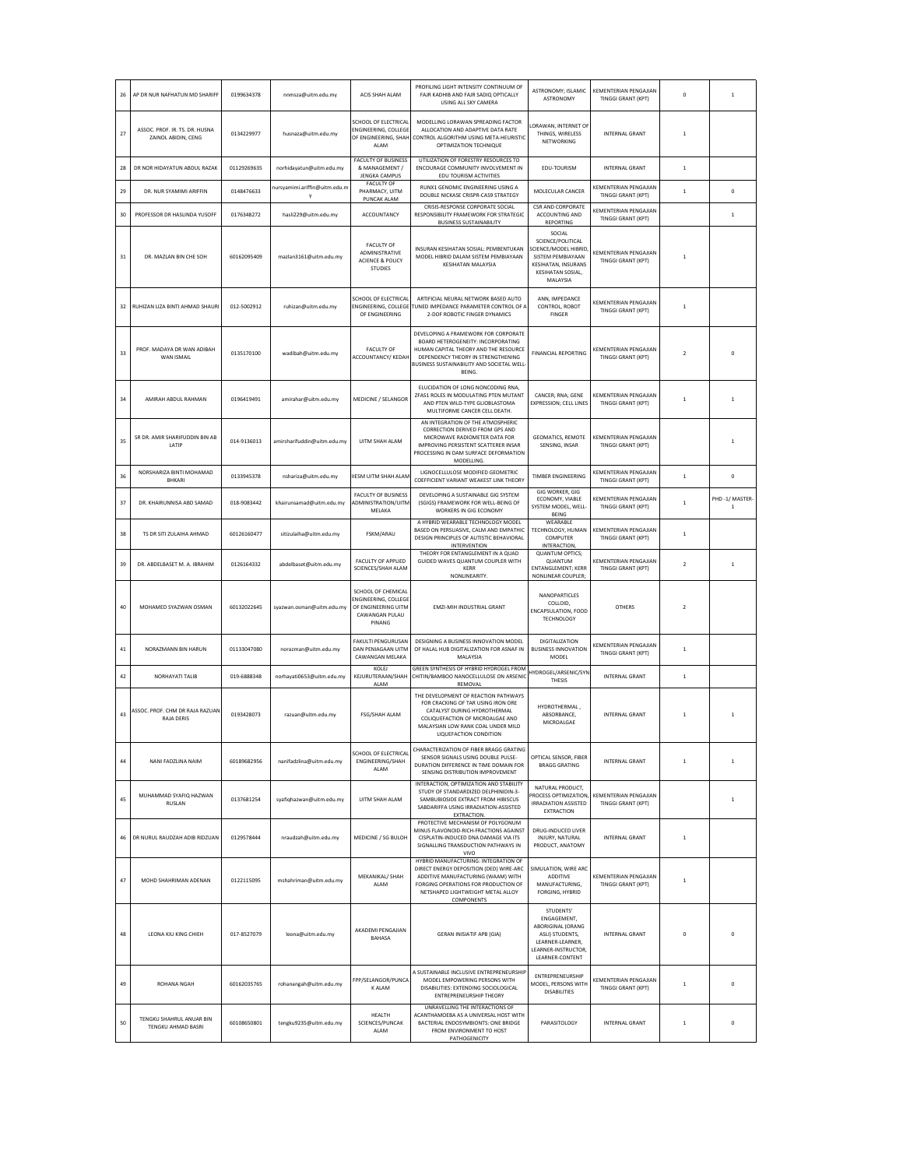| 26 | AP DR NUR NAFHATUN MD SHARIFF                         | 0199634378  | nnmsza@uitm.edu.my            | ACIS SHAH ALAM                                                                                       | PROFILING LIGHT INTENSITY CONTINUUM OF<br>FAJR KADHIB AND FAJR SADIQ OPTICALLY<br>USING ALL SKY CAMERA                                                                                                           | <b>ASTRONOMY: ISLAMIC</b><br>ASTRONOMY                                                                                                         | KEMENTERIAN PENGAJIAN<br>TINGGI GRANT (KPT)               | $\mathbf 0$    | $\mathbf{1}$          |
|----|-------------------------------------------------------|-------------|-------------------------------|------------------------------------------------------------------------------------------------------|------------------------------------------------------------------------------------------------------------------------------------------------------------------------------------------------------------------|------------------------------------------------------------------------------------------------------------------------------------------------|-----------------------------------------------------------|----------------|-----------------------|
| 27 | ASSOC. PROF. IR. TS. DR. HUSNA<br>ZAINOL ABIDIN, CENG | 0134229977  | husnaza@uitm.edu.my           | SCHOOL OF ELECTRICAL<br>ENGINEERING, COLLEGI<br>OF ENGINEERING, SHAH<br>ALAM                         | MODELLING LORAWAN SPREADING FACTOR<br>ALLOCATION AND ADAPTIVE DATA RATE<br>CONTROL ALGORITHM USING META-HEURISTIC<br>OPTIMIZATION TECHNIQUE                                                                      | LORAWAN, INTERNET OF<br>THINGS, WIRELESS<br>NETWORKING                                                                                         | <b>INTERNAL GRANT</b>                                     | $\mathbf{1}$   |                       |
| 28 | DR NOR HIDAYATUN ABDUL RAZAK                          | 01129269635 | norhidayatun@uitm.edu.my      | FACULTY OF BUSINESS<br>& MANAGEMENT /<br><b>JENGKA CAMPUS</b>                                        | UTILIZATION OF FORESTRY RESOURCES TO<br>ENCOURAGE COMMUNITY INVOLVEMENT IN<br><b>EDU TOURISM ACTIVITIES</b>                                                                                                      | EDU-TOURISM                                                                                                                                    | <b>INTERNAL GRANT</b>                                     | $\overline{1}$ |                       |
| 29 | DR. NUR SYAMIMI ARIFFIN                               | 0148476633  | nursyamimi.ariffin@uitm.edu.m | FACULTY OF<br>PHARMACY, UITM                                                                         | RUNX1 GENOMIC ENGINEERING USING A<br>DOUBLE NICKASE CRISPR-CAS9 STRATEGY                                                                                                                                         | MOLECULAR CANCER                                                                                                                               | KEMENTERIAN PENGAJIAN<br><b>TINGGI GRANT (KPT)</b>        | $\mathbf{1}$   | $\mathbf 0$           |
| 30 | PROFESSOR DR HASLINDA YUSOFF                          | 0176348272  | hasli229@uitm.edu.my          | PUNCAK ALAM<br>ACCOUNTANCY                                                                           | CRISIS-RESPONSE CORPORATE SOCIAL<br>RESPONSIBILITY FRAMEWORK FOR STRATEGIC<br><b>BUSINESS SUSTAINABILITY</b>                                                                                                     | <b>CSR AND CORPORATE</b><br>ACCOUNTING AND<br>REPORTING                                                                                        | KEMENTERIAN PENGAJIAN<br><b>TINGGI GRANT (KPT)</b>        |                | $\mathbf{1}$          |
| 31 | DR. MAZLAN BIN CHE SOH                                | 60162095409 | mazlan3161@uitm.edu.my        | <b>FACULTY OF</b><br><b>ADMINISTRATIVE</b><br><b>ACIENCE &amp; POLICY</b><br><b>STUDIES</b>          | INSURAN KESIHATAN SOSIAL: PEMBENTUKAN<br>MODEL HIBRID DALAM SISTEM PEMBIAYAAN<br><b>KESIHATAN MALAYSIA</b>                                                                                                       | SOCIAL<br>SCIENCE/POLITICAL<br><b>SCIENCE/MODEL HIBRID</b><br>SISTEM PEMBIAYAAN<br><b>KESIHATAN, INSURANS</b><br>KESIHATAN SOSIAL,<br>MALAYSIA | KEMENTERIAN PENGAJIAN<br><b>TINGGI GRANT (KPT)</b>        | $\mathbf{1}$   |                       |
| 32 | RUHIZAN LIZA BINTI AHMAD SHAURI                       | 012-5002912 | ruhizan@uitm.edu.my           | SCHOOL OF ELECTRICAL<br>ENGINEERING, COLLEGE<br>OF ENGINEERING                                       | ARTIFICIAL NEURAL NETWORK BASED AUTO<br>TUNED IMPEDANCE PARAMETER CONTROL OF /<br>2-DOF ROBOTIC FINGER DYNAMICS                                                                                                  | ANN. IMPEDANCE<br>CONTROL, ROBOT<br><b>FINGER</b>                                                                                              | KEMENTERIAN PENGAJIAN<br><b>TINGGI GRANT (KPT)</b>        | $\mathbf{1}$   |                       |
| 33 | PROF. MADAYA DR WAN ADIBAH<br>WAN ISMAIL              | 0135170100  | wadibah@uitm.edu.my           | <b>FACULTY OF</b><br>ACCOUNTANCY/ KEDAH                                                              | DEVELOPING A FRAMEWORK FOR CORPORATE<br>BOARD HETEROGENEITY: INCORPORATING<br>HUMAN CAPITAL THEORY AND THE RESOURCE<br>DEPENDENCY THEORY IN STRENGTHENING<br>BUSINESS SUSTAINABILITY AND SOCIETAL WELL<br>BEING. | <b>FINANCIAL REPORTING</b>                                                                                                                     | KEMENTERIAN PENGAJIAN<br><b>TINGGI GRANT (KPT)</b>        | $\overline{z}$ | $\Omega$              |
| 34 | AMIRAH ABDUL RAHMAN                                   | 0196419491  | amirahar@uitm.edu.my          | <b>MEDICINE / SELANGOF</b>                                                                           | ELUCIDATION OF LONG NONCODING RNA.<br>ZFAS1 ROLES IN MODULATING PTEN MUTANT<br>AND PTEN WILD-TYPE GLIOBLASTOMA<br>MULTIFORME CANCER CELL DEATH.                                                                  | CANCER; RNA; GENE<br><b>EXPRESSION: CELL LINES</b>                                                                                             | KEMENTERIAN PENGAJIAN<br><b>TINGGI GRANT (KPT)</b>        | $\mathbf{1}$   | $\mathbf{1}$          |
| 35 | SR DR. AMIR SHARIFUDDIN BIN AB<br>LATIP               | 014-9136013 | amirsharifuddin@uitm.edu.my   | UITM SHAH ALAM                                                                                       | AN INTEGRATION OF THE ATMOSPHERIC<br>CORRECTION DERIVED FROM GPS AND<br>MICROWAVE RADIOMETER DATA FOR<br>IMPROVING PERSISTENT SCATTERER INSAR<br>PROCESSING IN DAM SURFACE DEFORMATION<br>MODELLING.             | GEOMATICS, REMOTE<br>SENSING, INSAR                                                                                                            | KEMENTERIAN PENGAJIAN<br><b>TINGGI GRANT (KPT)</b>        |                | 1                     |
| 36 | NORSHARIZA BINTI MOHAMAD<br>BHKARI                    | 0133945378  | nshariza@uitm.edu.my          | <b>IIESM UITM SHAH ALAM</b>                                                                          | LIGNOCELLULOSE MODIFIED GEOMETRIC<br>COEFFICIENT VARIANT WEAKEST LINK THEORY                                                                                                                                     | <b>TIMBER ENGINEERING</b>                                                                                                                      | KEMENTERIAN PENGAJIAN<br>TINGGI GRANT (KPT)               | $\mathbf{1}$   | $\mathbf 0$           |
| 37 | DR. KHAIRUNNISA ABD SAMAD                             | 018-9083442 | khairunsamad@uitm.edu.my      | <b>FACULTY OF BUSINESS</b><br>ADMINISTRATION/UITM<br>MELAKA                                          | DEVELOPING A SUSTAINABLE GIG SYSTEM<br>(SGIGS) FRAMEWORK FOR WELL-BEING OF<br>WORKERS IN GIG ECONOMY                                                                                                             | GIG WORKER, GIG<br>ECONOMY, VIABLE<br>SYSTEM MODEL, WELL<br>BEING                                                                              | KEMENTERIAN PENGAJIAN<br>TINGGI GRANT (KPT)               | $\mathbf{1}$   | PHD -1/ MASTER-<br>-1 |
| 38 | TS DR SITI ZULAIHA AHMAD                              | 60126160477 | sitizulaiha@uitm.edu.my       | FSKM/ARAU                                                                                            | A HYBRID WEARABLE TECHNOLOGY MODEL<br>BASED ON PERSUASIVE, CALM AND EMPATHIC<br>DESIGN PRINCIPLES OF AUTISTIC BEHAVIORAL<br>INTERVENTION                                                                         | WEARABLE<br>TECHNOLOGY, HUMAN<br>COMPUTER<br><b>INTERACTION</b>                                                                                | <b>KEMENTERIAN PENGAJIAN</b><br>TINGGI GRANT (KPT)        | $\mathbf{1}$   |                       |
| 39 | DR. ABDELBASET M. A. IBRAHIM                          | 0126164332  | abdelbaset@uitm.edu.my        | <b>FACULTY OF APPLIED</b><br>SCIENCES/SHAH ALAM                                                      | THEORY FOR ENTANGLEMENT IN A QUAD<br>GUIDED WAVES QUANTUM COUPLER WITH<br>KERR<br>NONLINEARITY                                                                                                                   | <b>QUANTUM OPTICS;</b><br>QUANTUM<br>ENTANGLEMENT; KERR<br>NONLINEAR COUPLER;                                                                  | KEMENTERIAN PENGAJIAN<br>TINGGI GRANT (KPT)               | $\overline{2}$ | $\mathbf{1}$          |
| 40 | MOHAMED SYAZWAN OSMAN                                 | 60132022645 | syazwan.osman@uitm.edu.my     | SCHOOL OF CHEMICAL<br><b>ENGINEERING, COLLEGI</b><br>OF ENGINEERING UITM<br>CAWANGAN PULAU<br>PINANG | <b>EMZI-MIH INDUSTRIAL GRANT</b>                                                                                                                                                                                 | NANOPARTICLES<br>COLLOID,<br>ENCAPSULATION, FOOD<br><b>TECHNOLOGY</b>                                                                          | <b>OTHERS</b>                                             | $\overline{2}$ |                       |
| 41 | NORAZMANN BIN HARUN                                   | 01133047080 | norazman@uitm.edu.my          | FAKULTI PENGURUSAN<br><b>DAN PENIAGAAN UITM</b><br>CAWANGAN MELAKA                                   | DESIGNING A BUSINESS INNOVATION MODEL<br>OF HALAL HUB DIGITALIZATION FOR ASNAF IN<br>MALAYSIA                                                                                                                    | <b>DIGITALIZATION</b><br><b>BUSINESS INNOVATION</b><br>MODEL                                                                                   | KEMENTERIAN PENGAJIAN<br><b>TINGGI GRANT (KPT)</b>        | $\mathbf{1}$   |                       |
| 42 | NORHAYATI TALIB                                       | 019-6888348 | norhayati0653@uitm.edu.my     | KOLEJ<br>KEJURUTERAAN/SHAH<br>ALAM                                                                   | GREEN SYNTHESIS OF HYBRID HYDROGEL FROM<br>CHITIN/BAMBOO NANOCELLULOSE ON ARSENIC<br>REMOVAL                                                                                                                     | HYDROGEL/ARSENIC/SYN<br>THESIS                                                                                                                 | <b>INTERNAL GRANT</b>                                     | $\mathbf{1}$   |                       |
| 43 | ASSOC, PROF, CHM DR RAJA RAZUAN<br><b>RAIA DERIS</b>  | 0193428073  | razuan@uitm.edu.mv            | FSG/SHAH ALAM                                                                                        | THE DEVELOPMENT OF REACTION PATHWAYS<br>FOR CRACKING OF TAR USING IRON ORE<br>CATALYST DURING HYDROTHERMAL<br>COLIQUEFACTION OF MICROALGAE AND<br>MALAYSIAN LOW RANK COAL UNDER MILD<br>LIQUEFACTION CONDITION   | HYDROTHERMAL,<br>ABSORBANCE,<br>MICROALGAE                                                                                                     | <b>INTERNAL GRANT</b>                                     | $\mathbf{1}$   | $\mathbf{1}$          |
| 44 | NANI FADZLINA NAIM                                    | 60189682956 | nanifadzlina@uitm.edu.mv      | SCHOOL OF ELECTRICAL<br><b>ENGINEERING/SHAH</b><br>ALAM                                              | CHARACTERIZATION OF FIBER BRAGG GRATING<br>SENSOR SIGNALS USING DOUBLE PULSE-<br>DURATION DIFFERENCE IN TIME DOMAIN FOR<br>SENSING DISTRIBUTION IMPROVEMENT                                                      | OPTICAL SENSOR, FIBER<br><b>BRAGG GRATING</b>                                                                                                  | <b>INTERNAL GRANT</b>                                     | $\mathbf{1}$   | $\mathbf{1}$          |
| 45 | MUHAMMAD SYAFIQ HAZWAN<br>RUSLAN                      | 0137681254  | syafiqhazwan@uitm.edu.my      | UITM SHAH ALAM                                                                                       | INTERACTION, OPTIMIZATION AND STABILITY<br>STUDY OF STANDARDIZED DELPHINIDIN-3-<br>SAMBUBIOSIDE EXTRACT FROM HIBISCUS<br>SABDARIFFA USING IRRADIATION-ASSISTED<br>EXTRACTION.                                    | NATURAL PRODUCT.<br>ROCESS OPTIMIZATION,<br><b>IRRADIATION ASSISTED</b><br><b>EXTRACTION</b>                                                   | <b>KEMENTERIAN PENGAJIAN</b><br>TINGGI GRANT (KPT)        |                | $\mathbf{1}$          |
| 46 | DR NURUL RAUDZAH ADIB RIDZUAN                         | 0129578444  | nraudzah@uitm.edu.my          | MEDICINE / SG BULOH                                                                                  | PROTECTIVE MECHANISM OF POLYGONUM<br>MINUS FLAVONOID-RICH-FRACTIONS AGAINST<br>CISPLATIN-INDUCED DNA DAMAGE VIA ITS<br>SIGNALLING TRANSDUCTION PATHWAYS IN<br>VIVO                                               | DRUG-INDUCED LIVER<br>INJURY, NATURAL<br>PRODUCT, ANATOMY                                                                                      | <b>INTERNAL GRANT</b>                                     | $\mathbf{1}$   |                       |
| 47 | MOHD SHAHRIMAN ADENAN                                 | 0122115095  | mshahriman@uitm.edu.mv        | MEKANIKAL/ SHAH<br>ALAM                                                                              | HYBRID MANUFACTURING: INTEGRATION OF<br>DIRECT ENERGY DEPOSITION (DED) WIRE-ARC<br>ADDITIVE MANUFACTURING (WAAM) WITH<br>FORGING OPERATIONS FOR PRODUCTION OF<br>NETSHAPED LIGHTWEIGHT METAL ALLOY<br>COMPONENTS | SIMULATION, WIRE ARC<br><b>ADDITIVE</b><br>MANUFACTURING,<br>FORGING, HYBRID                                                                   | <b>KEMENTERIAN PENGAJIAN</b><br><b>TINGGI GRANT (KPT)</b> | $\mathbf{1}$   |                       |
| 48 | LEONA KIU KING CHIEH                                  | 017-8527079 | leona@uitm.edu.my             | AKADEMI PENGAJIAN<br>BAHASA                                                                          | <b>GERAN INISIATIF APB (GIA)</b>                                                                                                                                                                                 | STUDENTS'<br>ENGAGEMENT.<br>ABORIGINAL (ORANG<br>ASLI) STUDENTS.<br>LEARNER-LEARNER,<br><b>LEARNER-INSTRUCTOR</b><br>LEARNER-CONTENT           | <b>INTERNAL GRANT</b>                                     | $\mathbf{0}$   | $\mathbf 0$           |
| 49 | ROHANA NGAH                                           | 60162035765 | rohanangah@uitm.edu.my        | FPP/SELANGOR/PUNCA<br>K ALAM                                                                         | A SUSTAINABLE INCLUSIVE ENTREPRENEURSHIP<br>MODEL EMPOWERING PERSONS WITH<br>DISABILITIES: EXTENDING SOCIOLOGICAL<br><b>ENTREPRENEURSHIP THEORY</b>                                                              | <b>ENTREPRENEURSHIP</b><br>MODEL, PERSONS WITH<br><b>DISABILITIES</b>                                                                          | KEMENTERIAN PENGAJIAN<br><b>TINGGI GRANT (KPT)</b>        | $\mathbf{1}$   | $\mathbf{0}$          |
|    |                                                       |             |                               | HEALTH                                                                                               | UNRAVELLING THE INTERACTIONS OF<br>ACANTHAMOEBA AS A UNIVERSAL HOST WITH                                                                                                                                         |                                                                                                                                                |                                                           |                |                       |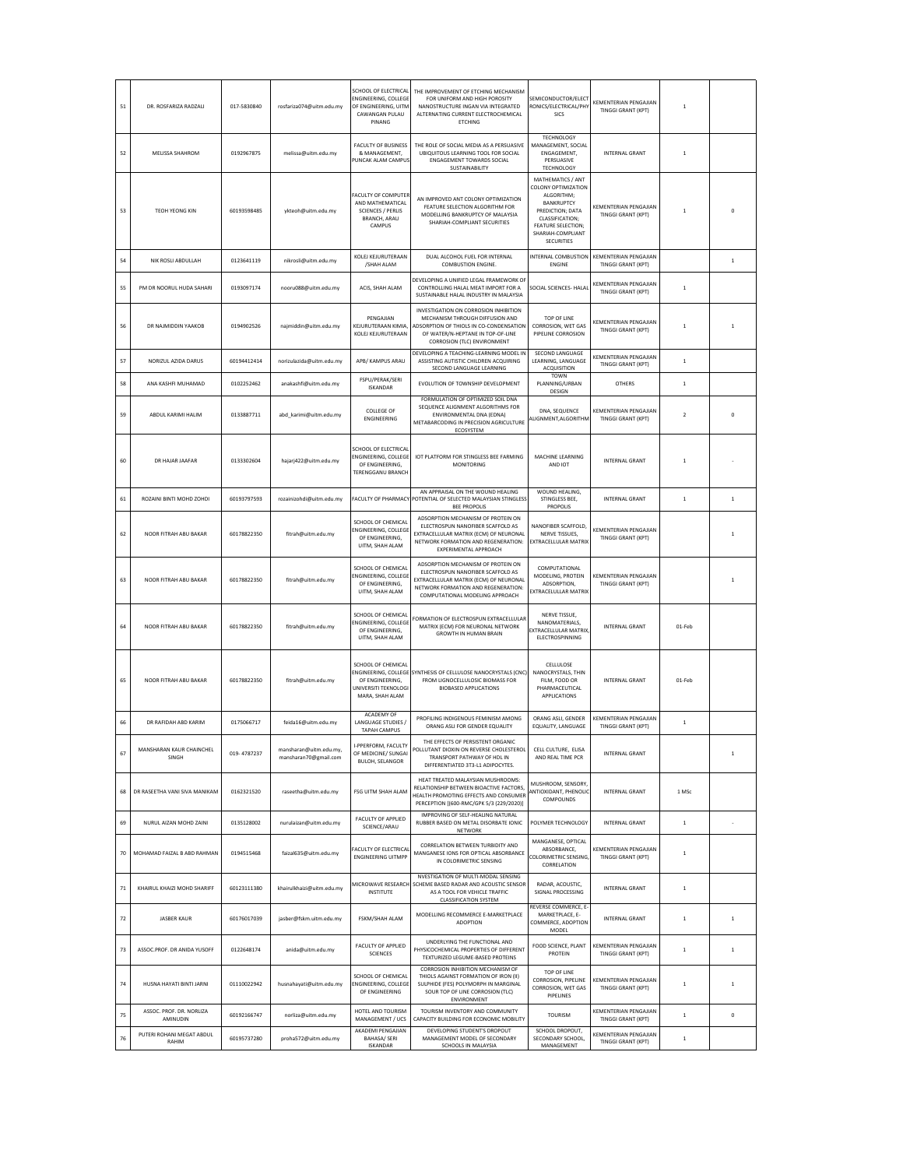| 51 | DR. ROSFARIZA RADZALI                | 017-5830840 | rosfariza074@uitm.edu.my                        | SCHOOL OF ELECTRICAL<br><b>ENGINEERING, COLLEGE</b><br>OF ENGINEERING, UITM<br><b>CAWANGAN PULAU</b><br>PINANG | THE IMPROVEMENT OF ETCHING MECHANISM<br>FOR UNIFORM AND HIGH POROSITY<br>NANOSTRUCTURE INGAN VIA INTEGRATED<br>ALTERNATING CURRENT ELECTROCHEMICAL<br><b>ETCHING</b>                        | SEMICONDUCTOR/ELECT<br>RONICS/ELECTRICAL/PHY<br>SICS                                                                                                                        | KEMENTERIAN PENGAJIAN<br><b>TINGGI GRANT (KPT)</b>        | $\overline{1}$ |              |
|----|--------------------------------------|-------------|-------------------------------------------------|----------------------------------------------------------------------------------------------------------------|---------------------------------------------------------------------------------------------------------------------------------------------------------------------------------------------|-----------------------------------------------------------------------------------------------------------------------------------------------------------------------------|-----------------------------------------------------------|----------------|--------------|
| 52 | MELISSA SHAHROM                      | 0192967875  | melissa@uitm.edu.my                             | <b>FACULTY OF BUSINESS</b><br>& MANAGEMENT.<br>PUNCAK ALAM CAMPUS                                              | THE ROLE OF SOCIAL MEDIA AS A PERSUASIVE<br>UBIQUITOUS LEARNING TOOL FOR SOCIAL<br>ENGAGEMENT TOWARDS SOCIAL<br>SUSTAINABILITY                                                              | <b>TECHNOLOGY</b><br>MANAGEMENT, SOCIAL<br>ENGAGEMENT.<br>PERSUASIVE<br><b>TECHNOLOGY</b><br>MATHEMATICS / ANT                                                              | <b>INTERNAL GRANT</b>                                     | $\overline{1}$ |              |
| 53 | <b>TEOH YEONG KIN</b>                | 60193598485 | ykteoh@uitm.edu.my                              | FACULTY OF COMPUTER<br>AND MATHEMATICAL<br><b>SCIENCES / PERLIS</b><br>BRANCH, ARAU<br>CAMPUS                  | AN IMPROVED ANT COLONY OPTIMIZATION<br>FEATURE SELECTION ALGORITHM FOR<br>MODELLING BANKRUPTCY OF MALAYSIA<br>SHARIAH-COMPLIANT SECURITIES                                                  | <b>COLONY OPTIMIZATION</b><br>ALGORITHM;<br><b>BANKRUPTCY</b><br>PREDICTION; DATA<br>CLASSIFICATION:<br><b>FEATURE SELECTION;</b><br>SHARIAH-COMPLIANT<br><b>SECURITIES</b> | <b>KEMENTERIAN PENGAJIAN</b><br><b>TINGGI GRANT (KPT)</b> | $\overline{1}$ |              |
| 54 | NIK ROSILARDUILAH                    | 0123641119  | nikrosli@uitm.edu.mv                            | KOLEJ KEJURUTERAAN<br>/SHAH ALAM                                                                               | DUAL ALCOHOL FUEL FOR INTERNAL<br>COMBUSTION ENGINE.                                                                                                                                        | INTERNAL COMBUSTION<br><b>ENGINE</b>                                                                                                                                        | <b>KEMENTERIAN PENGAJIAN</b><br>TINGGI GRANT (KPT)        |                | $\mathbf{1}$ |
| 55 | PM DR NOORUL HUDA SAHARI             | 0193097174  | nooru088@uitm.edu.my                            | ACIS, SHAH ALAM                                                                                                | DEVELOPING A UNIFIED LEGAL FRAMEWORK OF<br>CONTROLLING HALAL MEAT IMPORT FOR A<br>SUSTAINABLE HALAL INDUSTRY IN MALAYSIA                                                                    | SOCIAL SCIENCES- HALAL                                                                                                                                                      | KEMENTERIAN PENGAJIAN<br><b>TINGGI GRANT (KPT)</b>        | $\overline{1}$ |              |
| 56 | DR NAJMIDDIN YAAKOB                  | 0194902526  | najmiddin@uitm.edu.my                           | PENGAILAN<br>KEJURUTERAAN KIMIA,<br>KOLEJ KEJURUTERAAN                                                         | INVESTIGATION ON CORROSION INHIBITION<br>MECHANISM THROUGH DIFFUSION AND<br>ADSORPTION OF THIOLS IN CO-CONDENSATION<br>OF WATER/N-HEPTANE IN TOP-OF-LINE<br>CORROSION (TLC) ENVIRONMENT     | TOP OF LINE<br>CORROSION, WET GAS<br>PIPELINE CORROSION                                                                                                                     | <b>KEMENTERIAN PENGAJIAN</b><br><b>TINGGI GRANT (KPT)</b> | $\mathbf{1}$   | $\mathbf{1}$ |
| 57 | NORIZUL AZIDA DARUS                  | 60194412414 | norizulazida@uitm.edu.my                        | APB/ KAMPUS ARAU                                                                                               | DEVELOPING A TEACHING-LEARNING MODEL IN<br>ASSISTING AUTISTIC CHILDREN ACQUIRING<br>SECOND LANGUAGE LEARNING                                                                                | SECOND LANGUAGE<br>LEARNING, LANGUAGE<br><b>ACQUISITION</b>                                                                                                                 | <b>KEMENTERIAN PENGAJIAN</b><br><b>TINGGI GRANT (KPT)</b> | $\overline{1}$ |              |
| 58 | ANA KASHFI MUHAMAD                   | 0102252462  | anakashfi@uitm.edu.my                           | <b>FSPU/PERAK/SERI</b><br><b>ISKANDAR</b>                                                                      | EVOLUTION OF TOWNSHIP DEVELOPMENT                                                                                                                                                           | <b>TOWN</b><br>PLANNING/URBAN<br>DESIGN                                                                                                                                     | OTHERS                                                    | $\,$ 1         |              |
| 59 | ABDUL KARIMI HALIM                   | 0133887711  | abd karimi@uitm.edu.mv                          | <b>COLLEGE OF</b><br><b>ENGINEERING</b>                                                                        | FORMULATION OF OPTIMIZED SOIL DNA<br>SEQUENCE ALIGNMENT ALGORITHMS FOR<br>ENVIRONMENTAL DNA (EDNA)<br>METABARCODING IN PRECISION AGRICULTURE<br>ECOSYSTEM                                   | DNA, SEQUENCE<br>ALIGNMENT,ALGORITHN                                                                                                                                        | <b>KEMENTERIAN PENGAJIAN</b><br><b>TINGGI GRANT (KPT)</b> | $\overline{2}$ | 0            |
| 60 | DR HAJAR JAAFAR                      | 0133302604  | hajarj422@uitm.edu.my                           | SCHOOL OF FLECTRICAL<br>ENGINEERING, COLLEGE<br>OF ENGINEERING.<br>TERENGGANU BRANCH                           | IOT PLATFORM FOR STINGLESS BEE FARMING<br><b>MONITORING</b>                                                                                                                                 | MACHINE LEARNING<br>AND IOT                                                                                                                                                 | <b>INTERNAL GRANT</b>                                     | $\overline{1}$ |              |
| 61 | ROZAINI BINTI MOHD ZOHDI             | 60193797593 | rozainizohdi@uitm.edu.my                        | <b>FACULTY OF PHARMACY</b>                                                                                     | AN APPRAISAL ON THE WOUND HEALING<br>POTENTIAL OF SELECTED MALAYSIAN STINGLES:<br><b>BEE PROPOLIS</b>                                                                                       | WOUND HEALING,<br>STINGLESS BEE.<br>PROPOLIS                                                                                                                                | <b>INTERNAL GRANT</b>                                     | $\overline{1}$ | $\mathbf{1}$ |
| 62 | NOOR FITRAH ABU BAKAR                | 60178822350 | fitrah@uitm.edu.my                              | SCHOOL OF CHEMICAL<br>ENGINEERING, COLLEGE<br>OF ENGINEERING.<br>UITM, SHAH ALAM                               | ADSORPTION MECHANISM OF PROTEIN ON<br>ELECTROSPUN NANOFIBER SCAFFOLD AS<br>EXTRACELLULAR MATRIX (ECM) OF NEURONAL<br>NETWORK FORMATION AND REGENERATION:<br>EXPERIMENTAL APPROACH           | NANOFIBER SCAFFOLD.<br>NERVE TISSUES,<br><b>EXTRACELLULAR MATRIX</b>                                                                                                        | KEMENTERIAN PENGAJIAN<br>TINGGI GRANT (KPT)               |                | $\mathbf{1}$ |
| 63 | NOOR FITRAH ABU BAKAR                | 60178822350 | fitrah@uitm.edu.my                              | SCHOOL OF CHEMICAL<br>ENGINEERING, COLLEGE<br>OF ENGINEERING,<br>UITM, SHAH ALAM                               | ADSORPTION MECHANISM OF PROTEIN ON<br>ELECTROSPUN NANOFIBER SCAFFOLD AS<br>EXTRACELLULAR MATRIX (ECM) OF NEURONAL<br>NETWORK FORMATION AND REGENERATION:<br>COMPUTATIONAL MODELING APPROACH | COMPUTATIONAL<br>MODELING, PROTEIN<br>ADSORPTION,<br>EXTRACELULLAR MATRIX                                                                                                   | KEMENTERIAN PENGAJIAN<br><b>TINGGI GRANT (KPT)</b>        |                | 1            |
| 64 | NOOR FITRAH ABU BAKAR                | 60178822350 | fitrah@uitm.edu.my                              | SCHOOL OF CHEMICAL<br>ENGINEERING, COLLEGE<br>OF ENGINEERING.<br>UITM, SHAH ALAM                               | ORMATION OF ELECTROSPUN EXTRACELLULAR<br>MATRIX (ECM) FOR NEURONAL NETWORK<br>GROWTH IN HUMAN BRAIN                                                                                         | NERVE TISSUE.<br>NANOMATERIALS,<br><b>EXTRACELLULAR MATRIX</b><br>ELECTROSPINNING                                                                                           | <b>INTERNAL GRANT</b>                                     | 01-Feb         |              |
| 65 | NOOR FITRAH ABU BAKAR                | 60178822350 | fitrah@uitm.edu.my                              | SCHOOL OF CHEMICAL<br>ENGINEERING, COLLEGE<br>OF ENGINEERING,<br>UNIVERSITI TEKNOLOGI<br>MARA, SHAH ALAM       | SYNTHESIS OF CELLULOSE NANOCRYSTALS (CNC<br>FROM LIGNOCELLULOSIC BIOMASS FOR<br><b>BIOBASED APPLICATIONS</b>                                                                                | CELLULOSE<br>NANOCRYSTALS, THIN<br>FILM, FOOD OR<br>PHARMACEUTICAL<br>APPLICATIONS                                                                                          | <b>INTERNAL GRANT</b>                                     | 01-Feb         |              |
| 66 | DR RAFIDAH ABD KARIM                 | 0175066717  | feida16@uitm.edu.my                             | ACADEMY OF<br>LANGUAGE STUDIES /<br><b>TAPAH CAMPUS</b>                                                        | PROFILING INDIGENOUS FEMINISM AMONG<br>ORANG ASLI FOR GENDER EQUALITY                                                                                                                       | ORANG ASLL GENDER<br>EQUALITY, LANGUAGE                                                                                                                                     | <b>KEMENTERIAN PENGAJIAN</b><br>TINGGI GRANT (KPT)        | $\,$ 1         |              |
| 67 | MANSHARAN KAUR CHAINCHEL<br>SINGH    | 019-4787237 | mansharan@uitm.edu.my,<br>mansharan70@gmail.com | I-PPERFORM, FACULTY<br>OF MEDICINE/ SUNGAI<br><b>BULOH, SELANGOR</b>                                           | I HE EFFECTS OF PERSISTENT ORGANIC<br>POLLUTANT DIOXIN ON REVERSE CHOLESTEROL<br>TRANSPORT PATHWAY OF HDL IN<br>DIFFERENTIATED 3T3-L1 ADIPOCYTES.                                           | CELL CULTURE, ELISA<br>AND REAL TIME PCR                                                                                                                                    | <b>INTERNAL GRANT</b>                                     |                | $\mathbf{1}$ |
| 68 | DR RASEETHA VANI SIVA MANIKAM        | 0162321520  | raseetha@uitm.edu.my                            | FSG UITM SHAH ALAM                                                                                             | HEAT TREATED MALAYSIAN MUSHROOMS:<br>RELATIONSHIP BETWEEN BIOACTIVE FACTORS,<br>HEALTH PROMOTING EFFECTS AND CONSUMER<br>PERCEPTION [(600-RMC/GPK 5/3 (229/2020)]                           | MUSHROOM, SENSORY,<br>ANTIOXIDANT, PHENOLIC<br>COMPOUNDS                                                                                                                    | <b>INTERNAL GRANT</b>                                     | 1 MSc          |              |
| 69 | NURUL AIZAN MOHD ZAINI               | 0135128002  | nurulaizan@uitm.edu.my                          | FACULTY OF APPLIED<br>SCIENCE/ARAU                                                                             | IMPROVING OF SELF-HEALING NATURAL<br>RUBBER BASED ON METAL DISORBATE IONIC<br>NETWORK                                                                                                       | POLYMER TECHNOLOGY                                                                                                                                                          | <b>INTERNAL GRANT</b>                                     | $\overline{1}$ |              |
| 70 | MOHAMAD FAIZAL B ABD RAHMAN          | 0194515468  | faizal635@uitm.edu.my                           | FACULTY OF ELECTRICAL<br><b>ENGINEERING UITMPP</b>                                                             | CORRELATION BETWEEN TURBIDITY AND<br>MANGANESE IONS FOR OPTICAL ABSORBANCE<br>IN COLORIMETRIC SENSING                                                                                       | MANGANESE, OPTICAL<br>ABSORBANCE.<br>COLORIMETRIC SENSING,<br>CORRELATION                                                                                                   | <b>KEMENTERIAN PENGAJIAN</b><br>TINGGI GRANT (KPT)        | $\overline{1}$ |              |
| 71 | KHAIRUL KHAIZI MOHD SHARIFF          | 60123111380 | khairulkhaizi@uitm.edu.my                       | MICROWAVE RESEARCH<br><b>INSTITUTE</b>                                                                         | NVESTIGATION OF MULTI-MODAL SENSING<br>SCHEME BASED RADAR AND ACOUSTIC SENSOE<br>AS A TOOL FOR VEHICLE TRAFFIC<br><b>CLASSIFICATION SYSTEM</b>                                              | RADAR ACQUISTIC.<br>SIGNAL PROCESSING                                                                                                                                       | INTERNAL GRANT                                            | $\overline{1}$ |              |
| 72 | <b>JASBER KAUR</b>                   | 60176017039 | jasber@fskm.uitm.edu.my                         | FSKM/SHAH ALAM                                                                                                 | MODELLING RECOMMERCE E-MARKETPLACE<br><b>ADOPTION</b>                                                                                                                                       | REVERSE COMMERCE, E<br>MARKETPLACE, E-<br>COMMERCE, ADOPTION<br>MODEL                                                                                                       | <b>INTERNAL GRANT</b>                                     | $\,$ 1         | $\,1\,$      |
| 73 | ASSOC.PROF. DR ANIDA YUSOFF          | 0122648174  | anida@uitm.edu.my                               | FACULTY OF APPLIED<br><b>SCIENCES</b>                                                                          | UNDERLYING THE FUNCTIONAL AND<br>PHYSICOCHEMICAL PROPERTIES OF DIFFERENT<br>TEXTURIZED LEGUME-BASED PROTEINS                                                                                | FOOD SCIENCE, PLANT<br>PROTEIN                                                                                                                                              | KEMENTERIAN PENGAJIAN<br><b>TINGGI GRANT (KPT)</b>        | $\overline{1}$ | $\,$ 1 $\,$  |
| 74 | HUSNA HAYATI BINTI JARNI             | 01110022942 | husnahayati@uitm.edu.my                         | SCHOOL OF CHEMICAL<br>ENGINEERING, COLLEGE<br>OF ENGINEERING                                                   | CORROSION INHIBITION MECHANISM OF<br>THIOLS AGAINST FORMATION OF IRON (II)<br>SULPHIDE (FES) POLYMORPH IN MARGINAL<br>SOUR TOP OF LINE CORROSION (TLC)<br>ENVIRONMENT                       | TOP OF LINE<br>CORROSION, PIPELINE<br>CORROSION, WET GAS<br>PIPELINES                                                                                                       | <b>KEMENTERIAN PENGAJIAN</b><br>TINGGI GRANT (KPT)        | $\overline{1}$ | $\,$ 1       |
| 75 | ASSOC, PROF. DR. NORLIZA<br>AMINUDIN | 60192166747 | norliza@uitm.edu.my                             | HOTEL AND TOURISM<br>MANAGEMENT / UCS                                                                          | TOURISM INVENTORY AND COMMUNITY<br>CAPACITY BUILDING FOR ECONOMIC MOBILITY                                                                                                                  | <b>TOURISM</b>                                                                                                                                                              | <b>KEMENTERIAN PENGAJIAN</b><br>TINGGI GRANT (KPT)        | $\overline{1}$ | $\pmb{0}$    |
| 76 | PUTERI ROHANI MEGAT ABDUL<br>RAHIM   | 60195737280 | proha572@uitm.edu.my                            | AKADEMI PENGAJIAN<br><b>BAHASA/ SERI</b><br><b>ISKANDAR</b>                                                    | DEVELOPING STUDENT'S DROPOUT<br>MANAGEMENT MODEL OF SECONDARY<br>SCHOOLS IN MALAYSIA                                                                                                        | SCHOOL DROPOUT,<br>SECONDARY SCHOOL,<br>MANAGEMENT                                                                                                                          | KEMENTERIAN PENGAJIAN<br><b>TINGGI GRANT (KPT)</b>        | $\,$ 1         |              |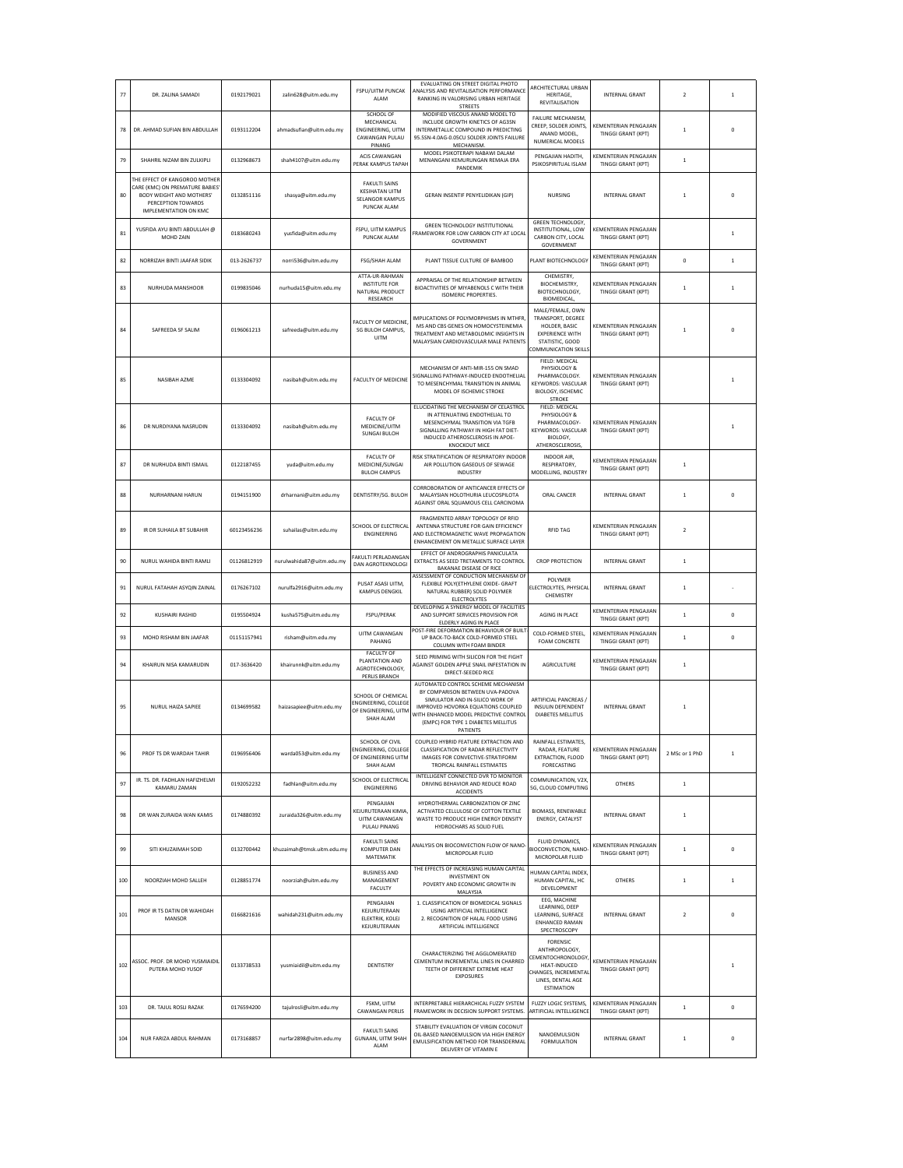| 77  | DR. ZALINA SAMADI                                                                                                                          | 0192179021  | zalin628@uitm.edu.my       | <b>FSPU/UITM PUNCAK</b><br>ALAM                                                           | EVALUATING ON STREET DIGITAL PHOTO<br>ANALYSIS AND REVITALISATION PERFORMANCI<br>RANKING IN VALORISING URBAN HERITAGE<br><b>STREETS</b>                                                                                                      | <b>ARCHITECTURAL URBAN</b><br>HERITAGE,<br><b>REVITALISATION</b>                                                                        | <b>INTERNAL GRANT</b>                              | $\overline{2}$ | $\,$ 1       |
|-----|--------------------------------------------------------------------------------------------------------------------------------------------|-------------|----------------------------|-------------------------------------------------------------------------------------------|----------------------------------------------------------------------------------------------------------------------------------------------------------------------------------------------------------------------------------------------|-----------------------------------------------------------------------------------------------------------------------------------------|----------------------------------------------------|----------------|--------------|
| 78  | DR. AHMAD SUFIAN BIN ABDULLAH                                                                                                              | 0193112204  | ahmadsufian@uitm.edu.my    | SCHOOL OF<br>MECHANICAL<br><b>ENGINEERING, UITM</b><br>CAWANGAN PULAU<br>PINANG           | MODIFIED VISCOUS ANAND MODEL TO<br>INCLUDE GROWTH KINETICS OF AG3SN<br>INTERMETALLIC COMPOUND IN PREDICTING<br>95.5SN-4.0AG-0.05CU SOLDER JOINTS FAILURE<br>MECHANISM.                                                                       | <b>FAILURE MECHANISM</b><br>CREEP, SOLDER JOINTS,<br>ANAND MODEL,<br>NUMERICAL MODELS                                                   | KEMENTERIAN PENGAJIAN<br>TINGGI GRANT (KPT)        | $\mathbf{1}$   | 0            |
| 79  | SHAHRIL NIZAM BIN ZULKIPLI                                                                                                                 | 0132968673  | shah4107@uitm.edu.my       | <b>ACIS CAWANGAN</b><br>PERAK KAMPUS TAPAH                                                | MODEL PSIKOTERAPI NABAWI DALAM<br>MENANGANI KEMURUNGAN REMAJA ERA<br>PANDEMIK                                                                                                                                                                | PENGAJIAN HADITH.<br>PSIKOSPIRITUAL ISLAM                                                                                               | KEMENTERIAN PENGAJIAN<br>TINGGI GRANT (KPT)        | $\overline{1}$ |              |
| 80  | THE EFFECT OF KANGOROO MOTHER<br>CARE (KMC) ON PREMATURE BABIES<br>BODY WEIGHT AND MOTHERS'<br>PERCEPTION TOWARDS<br>IMPLEMENTATION ON KMC | 0132851116  | shasya@uitm.edu.my         | <b>FAKULTI SAINS</b><br><b>KESIHATAN UITM</b><br>SELANGOR KAMPUS<br>PUNCAK ALAM           | GERAN INSENTIF PENYELIDIKAN (GIP)                                                                                                                                                                                                            | NURSING                                                                                                                                 | <b>INTERNAL GRANT</b>                              |                |              |
| 81  | YUSFIDA AYU BINTI ABDULLAH @<br>MOHD ZAIN                                                                                                  | 0183680243  | vusfida@uitm.edu.mv        | FSPU, UITM KAMPUS<br>PUNCAK ALAM                                                          | GREEN TECHNOLOGY INSTITUTIONAL<br>FRAMEWORK FOR LOW CARBON CITY AT LOCA<br>GOVERNMENT                                                                                                                                                        | <b>GREEN TECHNOLOGY.</b><br>INSTITUTIONAL, LOW<br>CARBON CITY, LOCAL<br>GOVERNMENT                                                      | KEMENTERIAN PENGAJIAN<br>TINGGI GRANT (KPT)        |                | $\mathbf{1}$ |
| 82  | NORRIZAH RINTI IAAFAR SIDIK                                                                                                                | 013-2626737 | norri536@uitm.edu.my       | <b>FSG/SHAH ALAM</b>                                                                      | PLANT TISSUE CULTURE OF BAMBOO                                                                                                                                                                                                               | PLANT BIOTECHNOLOGY                                                                                                                     | KEMENTERIAN PENGAJIAN<br><b>TINGGI GRANT (KPT)</b> | $\bf{0}$       | $\mathbf{1}$ |
| 83  | NURHUDA MANSHOOR                                                                                                                           | 0199835046  | nurhuda15@uitm.edu.my      | ATTA-UR-RAHMAN<br><b>INSTITUTE FOR</b><br>NATURAL PRODUCT<br>RESEARCH                     | APPRAISAL OF THE RELATIONSHIP RETWEEN<br>BIOACTIVITIES OF MIYABENOLS C WITH THEIR<br><b>ISOMERIC PROPERTIES.</b>                                                                                                                             | CHEMISTRY.<br>BIOCHEMISTRY,<br>BIOTECHNOLOGY,<br><b>BIOMEDICAL,</b>                                                                     | KEMENTERIAN PENGAJIAN<br>TINGGI GRANT (KPT)        | $\overline{1}$ | $\,$ 1       |
| 84  | SAFREEDA SF SALIM                                                                                                                          | 0196061213  | safreeda@uitm.edu.my       | FACULTY OF MEDICINE<br>SG BULOH CAMPUS,<br>UITM                                           | <b>IMPLICATIONS OF POLYMORPHISMS IN MTHFR</b><br>MS AND CBS GENES ON HOMOCYSTEINEMIA<br>TREATMENT AND METABOLOMIC INSIGHTS IN<br>MALAYSIAN CARDIOVASCULAR MALE PATIENTS                                                                      | MALE/FEMALE, OWN<br>TRANSPORT, DEGREE<br>HOLDER, BASIC<br><b>EXPERIENCE WITH</b><br>STATISTIC, GOOD<br>COMMUNICATION SKILLS             | KEMENTERIAN PENGAJIAN<br><b>TINGGI GRANT (KPT)</b> | $\overline{1}$ | $\Omega$     |
| 85  | NASIBAH AZME                                                                                                                               | 0133304092  | nasibah@uitm.edu.my        | <b>FACULTY OF MEDICINE</b>                                                                | MECHANISM OF ANTI-MIR-155 ON SMAD<br>IGNALLING PATHWAY-INDUCED ENDOTHELIAL<br>TO MESENCHYMAL TRANSITION IN ANIMAL<br>MODEL OF ISCHEMIC STROKE                                                                                                | FIELD: MEDICAL<br>PHYSIOLOGY &<br>PHARMACOLOGY.<br><b>KEYWORDS: VASCULAR</b><br>BIOLOGY, ISCHEMIC<br><b>STROKE</b>                      | KEMENTERIAN PENGAJIAN<br><b>TINGGI GRANT (KPT)</b> |                | 1            |
| 86  | DR NURDIYANA NASRUDIN                                                                                                                      | 0133304092  | nasibah@uitm.edu.my        | <b>FACULTY OF</b><br>MEDICINE/UITM<br><b>SUNGAI BULOH</b>                                 | ELUCIDATING THE MECHANISM OF CELASTROL<br>IN ATTENUATING ENDOTHELIAL TO<br>MESENCHYMAL TRANSITION VIA TGFB<br>SIGNALLING PATHWAY IN HIGH FAT DIET-<br>INDUCED ATHEROSCLEROSIS IN APOE-<br><b>KNOCKOUT MICE</b>                               | FIELD: MEDICAL<br>PHYSIOLOGY &<br>PHARMACOLOGY-<br>KEYWORDS: VASCULAR<br>BIOLOGY,<br>ATHEROSCLEROSIS,                                   | KEMENTERIAN PENGAJIAN<br>TINGGI GRANT (KPT)        |                | 1            |
| 87  | DR NURHUDA BINTI ISMAIL                                                                                                                    | 0122187455  | yuda@uitm.edu.my           | <b>FACULTY OF</b><br>MEDICINE/SUNGAI<br><b>BULOH CAMPUS</b>                               | RISK STRATIFICATION OF RESPIRATORY INDOOF<br>AIR POLLUTION GASEOUS OF SEWAGE<br><b>INDUSTRY</b>                                                                                                                                              | INDOOR AIR.<br>RESPIRATORY,<br>MODELLING, INDUSTRY                                                                                      | KEMENTERIAN PENGAJIAN<br>TINGGI GRANT (KPT)        | $\overline{1}$ |              |
| 88  | NURHARNANI HARUN                                                                                                                           | 0194151900  | drharnani@uitm.edu.mv      | DENTISTRY/SG. BULOH                                                                       | CORROBORATION OF ANTICANCER EFFECTS OF<br>MALAYSIAN HOLOTHURIA LEUCOSPILOTA<br>AGAINST ORAL SQUAMOUS CELL CARCINOMA                                                                                                                          | ORAL CANCER                                                                                                                             | <b>INTERNAL GRANT</b>                              | $\overline{1}$ | $\pmb{0}$    |
| 89  | IR DR SUHAILA BT SUBAHIR                                                                                                                   | 60123456236 | suhailas@uitm.edu.my       | SCHOOL OF ELECTRICAL<br><b>ENGINEERING</b>                                                | FRAGMENTED ARRAY TOPOLOGY OF RFID<br>ANTENNA STRUCTURE FOR GAIN EFFICIENCY<br>AND ELECTROMAGNETIC WAVE PROPAGATION<br>ENHANCEMENT ON METALLIC SURFACE LAYER                                                                                  | <b>RFID TAG</b>                                                                                                                         | KEMENTERIAN PENGAJIAN<br>TINGGI GRANT (KPT)        | $\overline{2}$ |              |
| 90  | NURUL WAHIDA BINTI RAMLI                                                                                                                   | 01126812919 | nurulwahida87@uitm.edu.my  | FAKULTI PERLADANGAN<br>DAN AGROTEKNOLOGI                                                  | EFFECT OF ANDROGRAPHIS PANICULATA<br>EXTRACTS AS SEED TRETAMENTS TO CONTROL<br>BAKANAE DISEASE OF RICE<br>ASSESSMENT OF CONDUCTION MECHANISM OF                                                                                              | <b>CROP PROTECTION</b>                                                                                                                  | <b>INTERNAL GRANT</b>                              | $\mathbf{1}$   |              |
| 91  | NURUL FATAHAH ASYQIN ZAINAL                                                                                                                | 0176267102  | nurulfa2916@uitm.edu.my    | PUSAT ASASI UITM,<br>KAMPUS DENGKIL                                                       | FLEXIBLE POLY(ETHYLENE OXIDE- GRAFT<br>NATURAL RUBBER) SOLID POLYMER<br>ELECTROLYTES                                                                                                                                                         | POLYMER<br>ELECTROLYTES, PHYSICAL<br>CHEMISTRY                                                                                          | <b>INTERNAL GRANT</b>                              | $\mathbf{1}$   |              |
| 92  | KUSHAIRI RASHID                                                                                                                            | 0195504924  | kusha575@uitm.edu.my       | FSPU/PERAK                                                                                | DEVELOPING A SYNERGY MODEL OF FACILITIES<br>AND SUPPORT SERVICES PROVISION FOR<br>ELDERLY AGING IN PLACE                                                                                                                                     | AGING IN PLACE                                                                                                                          | KEMENTERIAN PENGAJIAN<br><b>TINGGI GRANT (KPT)</b> | $\overline{1}$ | 0            |
| 93  | MOHD RISHAM BIN JAAFAR                                                                                                                     | 01151157941 | risham@uitm.edu.my         | UITM CAWANGAN<br>PAHANG                                                                   | POST-FIRE DEFORMATION BEHAVIOUR OF BUILT<br>UP BACK-TO-BACK COLD-FORMED STEEL<br>COLUMN WITH FOAM BINDER                                                                                                                                     | COLD-FORMED STEEL.<br>FOAM CONCRETE                                                                                                     | <b>KEMENTERIAN PENGAJIAN</b><br>TINGGI GRANT (KPT) | $\overline{1}$ | $\mathbf 0$  |
| 94  | KHAIRUN NISA KAMARUDIN                                                                                                                     | 017-3636420 | khairunnk@uitm.edu.my      | FACULTY OF<br>PLANTATION AND<br>AGROTECHNOLOGY,<br>PERLIS BRANCH                          | SEED PRIMING WITH SILICON FOR THE FIGHT<br>AGAINST GOLDEN APPLE SNAIL INFESTATION IN<br>DIRECT-SEEDED RICE                                                                                                                                   | <b>AGRICULTURE</b>                                                                                                                      | KEMENTERIAN PENGAJIAN<br>TINGGI GRANT (KPT)        | $\overline{1}$ |              |
| 95  | NURUL HAIZA SAPIEE                                                                                                                         | 0134699582  | haizasapiee@uitm.edu.my    | SCHOOL OF CHEMICAL<br>ENGINEERING, COLLEGE<br>OF ENGINEERING, UITM<br>SHAH ALAM           | AUTOMATED CONTROL SCHEME MECHANISM<br>BY COMPARISON BETWEEN UVA-PADOVA<br>SIMULATOR AND IN-SILICO WORK OF<br>IMPROVED HOVORKA EQUATIONS COUPLED<br>WITH ENHANCED MODEL PREDICTIVE CONTROL<br>(EMPC) FOR TYPE 1 DIABETES MELLITUS<br>PATIENTS | ARTIFICIAL PANCREAS /<br>INSULIN DEPENDENT<br><b>DIABETES MELLITUS</b>                                                                  | <b>INTERNAL GRANT</b>                              | $\mathbf{1}$   |              |
| 96  | PROF TS DR WARDAH TAHIR                                                                                                                    | 0196956406  | warda053@uitm.edu.my       | <b>SCHOOL OF CIVIL</b><br><b>ENGINEERING, COLLEGE</b><br>OF ENGINEERING UITM<br>SHAH ALAM | COUPLED HYBRID FEATURE EXTRACTION AND<br>CLASSIFICATION OF RADAR REFLECTIVITY<br>IMAGES FOR CONVECTIVE-STRATIFORM<br>TROPICAL RAINFALL ESTIMATES                                                                                             | RAINFALL ESTIMATES,<br>RADAR, FEATURE<br>EXTRACTION, FLOOD<br>FORECASTING                                                               | KEMENTERIAN PENGAJIAN<br>TINGGI GRANT (KPT)        | 2 MSc or 1 PhD | $\mathbf{1}$ |
| 97  | IR. TS. DR. FADHLAN HAFIZHELMI<br>KAMARU ZAMAN                                                                                             | 0192052232  | fadhlan@uitm.edu.my        | SCHOOL OF ELECTRICAL<br>ENGINEERING                                                       | INTELLIGENT CONNECTED DVR TO MONITOR<br>DRIVING BEHAVIOR AND REDUCE ROAD<br>ACCIDENTS                                                                                                                                                        | COMMUNICATION, V2X<br>5G, CLOUD COMPUTING                                                                                               | <b>OTHERS</b>                                      | $\mathbf{1}$   |              |
| 98  | DR WAN ZURAIDA WAN KAMIS                                                                                                                   | 0174880392  | zuraida326@uitm.edu.mv     | PENGAJIAN<br>KEILIRUTERAAN KIMIA<br><b>UITM CAWANGAN</b><br><b>PULAU PINANG</b>           | HYDROTHERMAL CARBONIZATION OF ZINC<br>ACTIVATED CELLULOSE OF COTTON TEXTILE<br>WASTE TO PRODUCE HIGH ENERGY DENSITY<br>HYDROCHARS AS SOLID FUEL                                                                                              | <b>BIOMASS, RENEWABLE</b><br>ENERGY, CATALYST                                                                                           | <b>INTERNAL GRANT</b>                              | $\mathbf{1}$   |              |
| 99  | SITI KHUZAIMAH SOID                                                                                                                        | 0132700442  | khuzaimah@tmsk.uitm.edu.my | <b>FAKULTI SAINS</b><br>KOMPUTER DAN<br>MATEMATIK                                         | ANALYSIS ON BIOCONVECTION FLOW OF NANO-<br>MICROPOLAR FLUID                                                                                                                                                                                  | FLUID DYNAMICS.<br>BIOCONVECTION, NANO-<br>MICROPOLAR FLUID                                                                             | KEMENTERIAN PENGAJIAN<br>TINGGI GRANT (KPT)        | $\overline{1}$ | 0            |
| 100 | NOORZIAH MOHD SALLEH                                                                                                                       | 0128851774  | noorziah@uitm.edu.my       | <b>BUSINESS AND</b><br>MANAGEMENT<br>FACULTY                                              | THE EFFECTS OF INCREASING HUMAN CAPITAL<br><b>INVESTMENT ON</b><br>POVERTY AND ECONOMIC GROWTH IN<br>MALAYSIA                                                                                                                                | HUMAN CAPITAL INDEX<br>HUMAN CAPITAL, HC<br>DEVELOPMENT                                                                                 | <b>OTHERS</b>                                      | $\mathbf{1}$   | $\,$ 1 $\,$  |
| 101 | PROF IR TS DATIN DR WAHIDAH<br>MANSOR                                                                                                      | 0166821616  | wahidah231@uitm.edu.my     | PENGAJIAN<br>KEJURUTERAAN<br>ELEKTRIK, KOLEJ<br>KEJURUTERAAN                              | 1. CLASSIFICATION OF BIOMEDICAL SIGNALS<br>USING ARTIFICIAL INTELLIGENCE<br>2. RECOGNITION OF HALAL FOOD USING<br>ARTIFICIAL INTELLIGENCE                                                                                                    | EEG, MACHINE<br>LEARNING, DEEP<br>LEARNING, SURFACE<br><b>ENHANCED RAMAN</b><br>SPECTROSCOPY                                            | <b>INTERNAL GRANT</b>                              | $\overline{2}$ | $\mathbf 0$  |
| 102 | ASSOC. PROF. DR MOHD YUSMIAIDIL<br>PUTERA MOHD YUSOF                                                                                       | 0133738533  | yusmiaidil@uitm.edu.my     | DENTISTRY                                                                                 | CHARACTERIZING THE AGGLOMERATED<br>CEMENTUM INCREMENTAL LINES IN CHARRED<br>TEETH OF DIFFERENT EXTREME HEAT<br><b>EXPOSURES</b>                                                                                                              | <b>FORENSIC</b><br>ANTHROPOLOGY,<br>CEMENTOCHRONOLOGY<br>HEAT-INDUCED<br>CHANGES, INCREMENTAL<br>LINES, DENTAL AGE<br><b>ESTIMATION</b> | KEMENTERIAN PENGAJIAN<br>TINGGI GRANT (KPT)        |                | $\mathbf{1}$ |
| 103 | DR. TAJUL ROSLI RAZAK                                                                                                                      | 0176594200  | tajulrosli@uitm.edu.my     | FSKM, UITM<br>CAWANGAN PERLIS                                                             | INTERPRETABLE HIERARCHICAL FUZZY SYSTEM<br>FRAMEWORK IN DECISION SUPPORT SYSTEMS.                                                                                                                                                            | <b>FUZZY LOGIC SYSTEMS.</b><br>ARTIFICIAL INTELLIGENCE                                                                                  | KEMENTERIAN PENGAJIAN<br>TINGGI GRANT (KPT)        | $\,$ 1         | 0            |
| 104 | NUR FARIZA ABDUL RAHMAN                                                                                                                    | 0173168857  | nurfar2898@uitm.edu.my     | <b>FAKULTI SAINS</b><br>GUNAAN, UITM SHAH<br>ALAM                                         | STABILITY EVALUATION OF VIRGIN COCONUT<br>OIL-BASED NANOEMULSION VIA HIGH ENERGY<br>EMULSIFICATION METHOD FOR TRANSDERMAL<br>DELIVERY OF VITAMIN E                                                                                           | NANOEMULSION<br><b>FORMULATION</b>                                                                                                      | <b>INTERNAL GRANT</b>                              | $\mathbf{1}$   | $\pmb{0}$    |